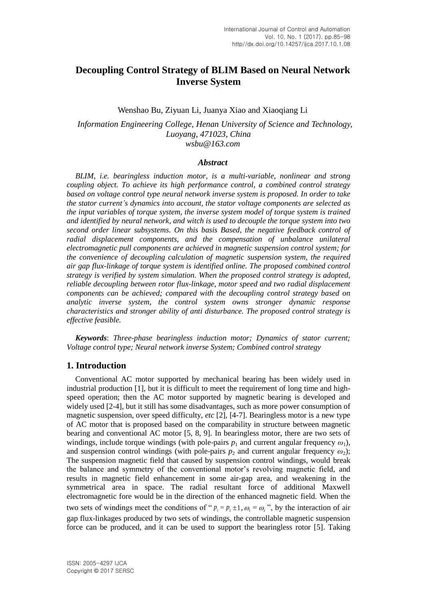# **Decoupling Control Strategy of BLIM Based on Neural Network Inverse System**

Wenshao Bu, Ziyuan Li, Juanya Xiao and Xiaoqiang Li

*Information Engineering College, Henan University of Science and Technology, Luoyang, 471023, China wsbu@163.com* 

#### *Abstract*

*BLIM, i.e. bearingless induction motor, is a multi-variable, nonlinear and strong coupling object. To achieve its high performance control, a combined control strategy based on voltage control type neural network inverse system is proposed. In order to take the stator current's dynamics into account, the stator voltage components are selected as the input variables of torque system, the inverse system model of torque system is trained and identified by neural network, and witch is used to decouple the torque system into two second order linear subsystems. On this basis Based, the negative feedback control of radial displacement components, and the compensation of unbalance unilateral electromagnetic pull components are achieved in magnetic suspension control system; for the convenience of decoupling calculation of magnetic suspension system, the required air gap flux-linkage of torque system is identified online. The proposed combined control strategy is verified by system simulation. When the proposed control strategy is adopted, reliable decoupling between rotor flux-linkage, motor speed and two radial displacement components can be achieved; compared with the decoupling control strategy based on analytic inverse system, the control system owns stronger dynamic response characteristics and stronger ability of anti disturbance. The proposed control strategy is effective feasible.*

*Keywords*: *Three-phase bearingless induction motor; Dynamics of stator current; Voltage control type; Neural network inverse System; Combined control strategy*

# **1. Introduction**

Conventional AC motor supported by mechanical bearing has been widely used in industrial production [1], but it is difficult to meet the requirement of long time and highspeed operation; then the AC motor supported by magnetic bearing is developed and widely used [2-4], but it still has some disadvantages, such as more power consumption of magnetic suspension, over speed difficulty, *etc* [2], [4-7]. Bearingless motor is a new type of AC motor that is proposed based on the comparability in structure between magnetic bearing and conventional AC motor [5, 8, 9]. In bearingless motor, there are two sets of windings, include torque windings (with pole-pairs  $p_1$  and current angular frequency  $\omega_1$ ), and suspension control windings (with pole-pairs  $p_2$  and current angular frequency  $\omega_2$ ); The suspension magnetic field that caused by suspension control windings, would break the balance and symmetry of the conventional motor's revolving magnetic field, and results in magnetic field enhancement in some air-gap area, and weakening in the symmetrical area in space. The radial resultant force of additional Maxwell electromagnetic fore would be in the direction of the enhanced magnetic field. When the two sets of windings meet the conditions of " $p_1 = p_2 \pm 1$ ,  $\omega_1 = \omega_2$ ", by the interaction of air gap flux-linkages produced by two sets of windings, the controllable magnetic suspension force can be produced, and it can be used to support the bearingless rotor [5]. Taking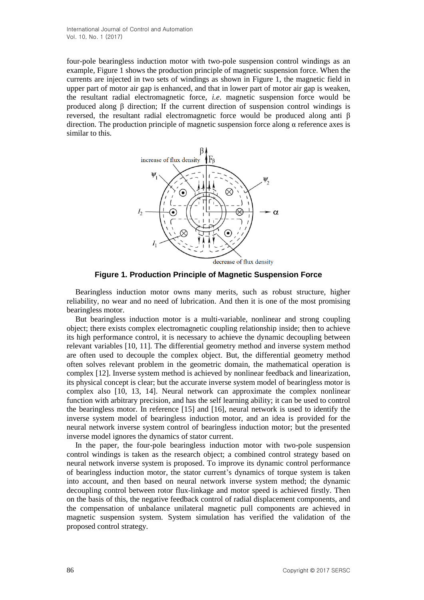four-pole bearingless induction motor with two-pole suspension control windings as an example, Figure 1 shows the production principle of magnetic suspension force. When the currents are injected in two sets of windings as shown in Figure 1, the magnetic field in upper part of motor air gap is enhanced, and that in lower part of motor air gap is weaken, the resultant radial electromagnetic force, *i.e*. magnetic suspension force would be produced along β direction; If the current direction of suspension control windings is reversed, the resultant radial electromagnetic force would be produced along anti β direction. The production principle of magnetic suspension force along  $\alpha$  reference axes is similar to this.



**Figure 1. Production Principle of Magnetic Suspension Force**

Bearingless induction motor owns many merits, such as robust structure, higher reliability, no wear and no need of lubrication. And then it is one of the most promising bearingless motor.

But bearingless induction motor is a multi-variable, nonlinear and strong coupling object; there exists complex electromagnetic coupling relationship inside; then to achieve its high performance control, it is necessary to achieve the dynamic decoupling between relevant variables [10, 11]. The differential geometry method and inverse system method are often used to decouple the complex object. But, the differential geometry method often solves relevant problem in the geometric domain, the mathematical operation is complex [12]. Inverse system method is achieved by nonlinear feedback and linearization, its physical concept is clear; but the accurate inverse system model of bearingless motor is complex also [10, 13, 14]. Neural network can approximate the complex nonlinear function with arbitrary precision, and has the self learning ability; it can be used to control the bearingless motor. In reference [15] and [16], neural network is used to identify the inverse system model of bearingless induction motor, and an idea is provided for the neural network inverse system control of bearingless induction motor; but the presented inverse model ignores the dynamics of stator current.

In the paper, the four-pole bearingless induction motor with two-pole suspension control windings is taken as the research object; a combined control strategy based on neural network inverse system is proposed. To improve its dynamic control performance of bearingless induction motor, the stator current's dynamics of torque system is taken into account, and then based on neural network inverse system method; the dynamic decoupling control between rotor flux-linkage and motor speed is achieved firstly. Then on the basis of this, the negative feedback control of radial displacement components, and the compensation of unbalance unilateral magnetic pull components are achieved in magnetic suspension system. System simulation has verified the validation of the proposed control strategy.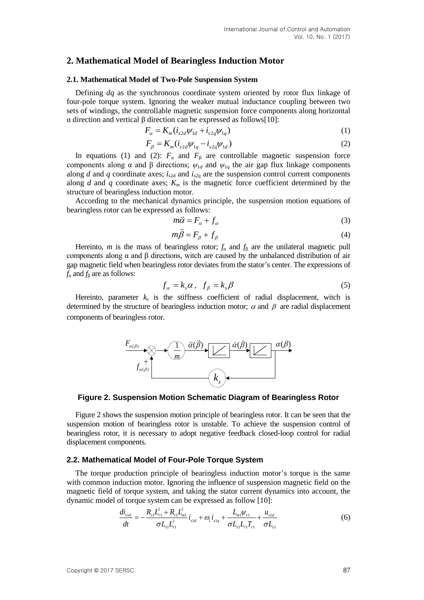## **2. Mathematical Model of Bearingless Induction Motor**

#### **2.1. Mathematical Model of Two-Pole Suspension System**

Defining *dq* as the synchronous coordinate system oriented by rotor flux linkage of four-pole torque system. Ignoring the weaker mutual inductance coupling between two sets of windings, the controllable magnetic suspension force components along horizontal α direction and vertical β direction can be expressed as follows[10]:<br>  $F_{\alpha} = K_m (i_{s2d} \psi_{1d} + i_{s2q} \psi_{1q})$  (1)

$$
F_{\alpha} = K_m (i_{s2d} \psi_{1d} + i_{s2q} \psi_{1q})
$$
 (1)

$$
F_{\beta} = K_m(i_{s2d}\psi_{1q} - i_{s2q}\psi_{1d})
$$
\n(2)

In equations (1) and (2):  $F_a$  and  $F_\beta$  are controllable magnetic suspension force components along α and β directions;  $\psi_{1d}$  and  $\psi_{1g}$  the air gap flux linkage components along *d* and *q* coordinate axes;  $i_{s2d}$  and  $i_{s2q}$  are the suspension control current components along *d* and *q* coordinate axes;  $K_m$  is the magnetic force coefficient determined by the structure of bearingless induction motor.

According to the mechanical dynamics principle, the suspension motion equations of bearingless rotor can be expressed as follows:

$$
m\ddot{\alpha} = F_{\alpha} + f_{\alpha} \tag{3}
$$

$$
m\ddot{\beta} = F_{\beta} + f_{\beta} \tag{4}
$$

Hereinto, *m* is the mass of bearingless rotor;  $f_a$  and  $f_b$  are the unilateral magnetic pull components along α and β directions, witch are caused by the unbalanced distribution of air gap magnetic field when bearingless rotor deviates from the stator's center. The expressions of  $f_a$  and  $f_B$  are as follows:

$$
f_{\alpha} = k_s \alpha, \ \ f_{\beta} = k_s \beta \tag{5}
$$

Hereinto, parameter  $k_s$  is the stiffness coefficient of radial displacement, witch is determined by the structure of bearingless induction motor;  $\alpha$  and  $\beta$  are radial displacement components of bearingless rotor.



**Figure 2. Suspension Motion Schematic Diagram of Bearingless Rotor**

Figure 2 shows the suspension motion principle of bearingless rotor. It can be seen that the suspension motion of bearingless rotor is unstable. To achieve the suspension control of bearingless rotor, it is necessary to adopt negative feedback closed-loop control for radial displacement components.

#### **2.2. Mathematical Model of Four-Pole Torque System**

The torque production principle of bearingless induction motor's torque is the same with common induction motor. Ignoring the influence of suspension magnetic field on the magnetic field of torque system, and taking the stator current dynamics into account, the

dynamic model of torque system can be expressed as follow [10]:  
\n
$$
\frac{di_{sld}}{dt} = -\frac{R_{sl}L_{r1}^2 + R_{r1}L_{ml}^2}{\sigma L_{sl}L_{r1}^2} i_{sld} + \omega_l i_{slq} + \frac{L_{ml}\psi_{r1}}{\sigma L_{sl}L_{r1}T_{r1}} + \frac{u_{sld}}{\sigma L_{sl}}
$$
\n(6)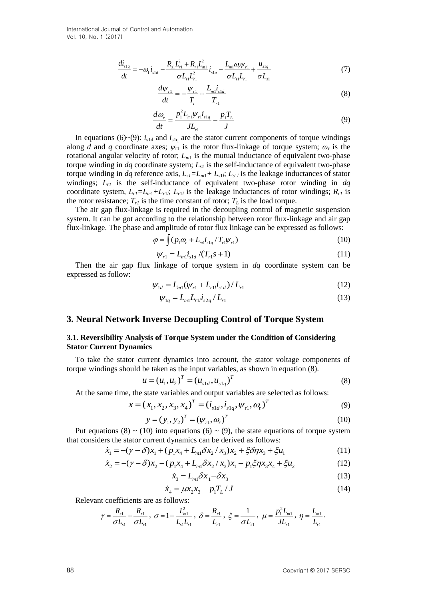International Journal of Control and Automation Vol. 10, No. 1 (2017)

$$
\frac{di_{slq}}{dt} = -\omega_i \, i_{sld} - \frac{R_{sl}L_{r1}^2 + R_{rl}L_{ml}^2}{\sigma L_{sl}L_{r1}^2} \, i_{slq} - \frac{L_{ml}\omega_r \psi_{r1}}{\sigma L_{sl}L_{r1}} + \frac{u_{slq}}{\sigma L_{sl}} \tag{7}
$$

$$
\frac{d\psi_{r1}}{dt} = -\frac{\psi_{r1}}{T_r} + \frac{L_{m1}i_{s1d}}{T_{r1}}
$$
\n(8)

$$
\frac{d\omega_r}{dt} = \frac{p_1^2 L_{m1} \psi_{r1} i_{s1q}}{J L_{r1}} - \frac{p_1 T_L}{J} \tag{9}
$$

In equations (6)~(9):  $i_{\text{sld}}$  and  $i_{\text{slq}}$  are the stator current components of torque windings along *d* and *q* coordinate axes;  $\psi_{r1}$  is the rotor flux-linkage of torque system;  $\omega_r$  is the rotational angular velocity of rotor;  $L_{m1}$  is the mutual inductance of equivalent two-phase torque winding in  $dq$  coordinate system;  $L_{s1}$  is the self-inductance of equivalent two-phase torque winding in *dq* reference axis,  $L_{s1} = L_{m1} + L_{s1}$ ;  $L_{s1}$  is the leakage inductances of stator windings; *Lr1* is the self-inductance of equivalent two-phase rotor winding in *dq* coordinate system,  $L_{r1} = L_{m1} + L_{r1}$ ;  $L_{r1}$  is the leakage inductances of rotor windings;  $R_{r1}$  is the rotor resistance;  $T_{r1}$  is the time constant of rotor;  $T_L$  is the load torque.

The air gap flux-linkage is required in the decoupling control of magnetic suspension system. It can be got according to the relationship between rotor flux-linkage and air gap flux-linkage. The phase and amplitude of rotor flux linkage can be expressed as follows:

$$
\varphi = \int (p_1 \omega_r + L_{m1} i_{slq} / T_{rl} \psi_{r1})
$$
\n(10)

$$
\psi_{r1} = L_{m1} \dot{t}_{s1d} / (T_{r1} s + 1)
$$
\n(11)

Then the air gap flux linkage of torque system in *dq* coordinate system can be expressed as follow:

$$
\psi_{1d} = L_{m1}(\psi_{r1} + L_{r1}i_{s1d}) / L_{r1}
$$
\n(12)

$$
\psi_{1q} = L_{m1} L_{r1} i_{s2q} / L_{r1}
$$
\n(13)

### **3. Neural Network Inverse Decoupling Control of Torque System**

### **3.1. Reversibility Analysis of Torque System under the Condition of Considering Stator Current Dynamics**

To take the stator current dynamics into account, the stator voltage components of

torque windings should be taken as the input variables, as shown in equation (8).  
\n
$$
u = (u_1, u_2)^T = (u_{s1d}, u_{s1q})^T
$$
\n(8)

At the same time, the state variables and output variables are selected as follows:  
\n
$$
x = (x_1, x_2, x_3, x_4)^T = (i_{\text{sld}}, i_{\text{slq}}, \psi_{r1}, \omega_r)^T
$$
\n(9)

$$
y = (y_1, y_2)^T = (\psi_{r1}, \omega_r)^T
$$
 (10)

Put equations (8) ~ (10) into equations (6) ~ (9), the state equations of torque system<br>
it considers the stator current dynamics can be derived as follows:<br>  $\dot{x}_1 = -(\gamma - \delta)x_1 + (p_1x_4 + L_{m1}\delta x_2 / x_3)x_2 + \xi \delta \eta x_3 + \xi u_1$  (11)

that considers the stator current dynamics can be derived as follows:  
\n
$$
\dot{x}_1 = -(\gamma - \delta)x_1 + (p_1x_4 + L_{m1}\delta x_2 / x_3)x_2 + \xi \delta \eta x_3 + \xi u_1
$$
\n
$$
\dot{x}_2 = -(\gamma - \delta)x_2 - (p_1x_4 + L_{m1}\delta x_2 / x_3)x_1 - p_1\xi \eta x_3x_4 + \xi u_2
$$
\n(12)

$$
P_2 = -(\gamma - \delta)x_2 - (p_1x_4 + L_{m1}\delta x_2 / x_3)x_1 - p_1\xi\eta x_3x_4 + \xi u_2
$$
\n(12)

$$
\dot{x}_3 = L_{m1} \delta x_1 - \delta x_3 \tag{13}
$$

$$
\dot{x}_4 = \mu x_2 x_3 - p_1 T_L / J \tag{14}
$$

Relevant coefficients are as follows:

$$
\gamma = \frac{R_{s1}}{\sigma L_{s1}} + \frac{R_{r1}}{\sigma L_{r1}}, \quad \sigma = 1 - \frac{L_{m1}^2}{L_{s1}L_{r1}}, \quad \delta = \frac{R_{r1}}{L_{r1}}, \quad \xi = \frac{1}{\sigma L_{s1}}, \quad \mu = \frac{p_1^2 L_{m1}}{J L_{r1}}, \quad \eta = \frac{L_{m1}}{L_{r1}}.
$$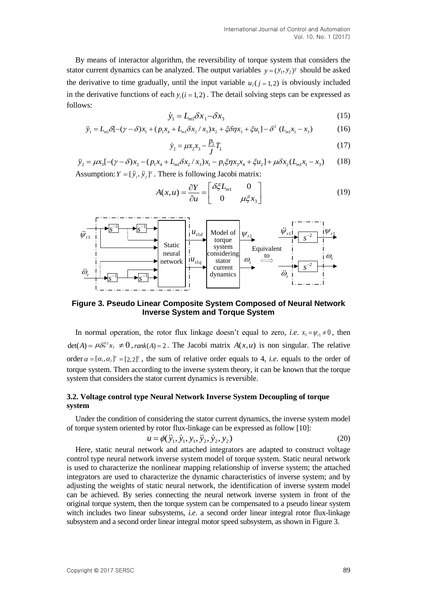By means of interactor algorithm, the reversibility of torque system that considers the stator current dynamics can be analyzed. The output variables  $y = (y_1, y_2)^T$  should be asked the derivative to time gradually, until the input variable  $u_j$  ( $j = 1, 2$ ) is obviously included in the derivative functions of each  $y_i(i = 1, 2)$ . The detail solving steps can be expressed as follows:

$$
\dot{y}_1 = L_{m1} \delta x_1 - \delta x_3 \tag{15}
$$

$$
\dot{y}_1 = L_{m1} \delta x_1 - \delta x_3 \tag{15}
$$
\n
$$
\ddot{y}_1 = L_{m1} \delta x_1 - \delta x_3 \tag{15}
$$
\n
$$
\ddot{y}_1 = L_{m1} \delta[-(\gamma - \delta)x_1 + (p_1 x_4 + L_{m1} \delta x_2 / x_3)x_2 + \xi \delta \eta x_3 + \xi u_1] - \delta^2 (L_{m1} x_1 - x_3) \tag{16}
$$

$$
\dot{y}_2 = \mu x_2 x_3 - \frac{p_1}{J} T_L \tag{17}
$$

 $y_1 = L_{m1} \delta[-(\gamma - \delta)x_1 + (p_1x_4 + L_{m1} \delta x_2 / x_3)x_2 + \xi \delta \eta x_3 + \xi u_1] - \delta$  ( $L_{m1}x_1 - x_3$ ) (16)<br>  $\dot{y}_2 = \mu x_2 x_3 - \frac{p_1}{J} T_L$  (17)<br>  $\ddot{y}_2 = \mu x_3[-(\gamma - \delta)x_2 - (p_1x_4 + L_{m1} \delta x_2 / x_3)x_1 - p_1 \xi \eta x_3 x_4 + \xi u_2] + \mu \delta x_2 (L_{m1}x_1 - x_3)$ 

Assumption: 
$$
Y = [\ddot{y}_1, \ddot{y}_2]^T
$$
. There is following Jacobi matrix:  
\n
$$
A(x, u) = \frac{\partial Y}{\partial u} = \begin{bmatrix} \delta \xi L_{m1} & 0 \\ 0 & \mu \xi x_3 \end{bmatrix}
$$
\n(19)



### **Figure 3. Pseudo Linear Composite System Composed of Neural Network Inverse System and Torque System**

In normal operation, the rotor flux linkage doesn't equal to zero, *i.e.*  $x_3 = \psi_{11} \neq 0$ , then  $\det(A) = \mu \delta \xi^2 x_3 \neq 0$ , *rank*  $(A) = 2$ . The Jacobi matrix  $A(x, u)$  is non singular. The relative order  $\alpha = [\alpha_1, \alpha_2]^T = [2, 2]^T$ , the sum of relative order equals to 4, *i.e.* equals to the order of torque system. Then according to the inverse system theory, it can be known that the torque system that considers the stator current dynamics is reversible.

### **3.2. Voltage control type Neural Network Inverse System Decoupling of torque system**

Under the condition of considering the stator current dynamics, the inverse system model of torque system oriented by rotor flux-linkage can be expressed as follow [10]:<br>  $u = \phi(\ddot{y}_1, \dot{y}_1, y_1, \ddot{y}_2, \dot{y}_2, y_2)$  (20)

$$
u = \phi(\ddot{y}_1, \dot{y}_1, y_1, \ddot{y}_2, \dot{y}_2, y_2)
$$
 (20)

Here, static neural network and attached integrators are adapted to construct voltage control type neural network inverse system model of torque system. Static neural network is used to characterize the nonlinear mapping relationship of inverse system; the attached integrators are used to characterize the dynamic characteristics of inverse system; and by adjusting the weights of static neural network, the identification of inverse system model can be achieved. By series connecting the neural network inverse system in front of the original torque system, then the torque system can be compensated to a pseudo linear system witch includes two linear subsystems, *i.e*. a second order linear integral rotor flux-linkage subsystem and a second order linear integral motor speed subsystem, as shown in Figure 3.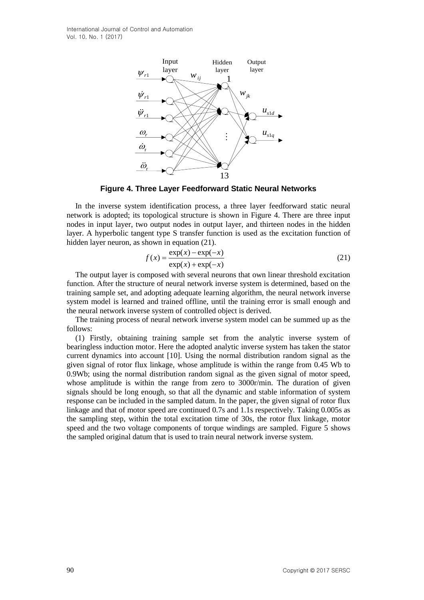International Journal of Control and Automation Vol. 10, No. 1 (2017)



**Figure 4. Three Layer Feedforward Static Neural Networks**

In the inverse system identification process, a three layer feedforward static neural network is adopted; its topological structure is shown in Figure 4. There are three input nodes in input layer, two output nodes in output layer, and thirteen nodes in the hidden layer. A hyperbolic tangent type S transfer function is used as the excitation function of hidden layer neuron, as shown in equation (21).

$$
f(x) = \frac{\exp(x) - \exp(-x)}{\exp(x) + \exp(-x)}
$$
(21)

The output layer is composed with several neurons that own linear threshold excitation function. After the structure of neural network inverse system is determined, based on the training sample set, and adopting adequate learning algorithm, the neural network inverse system model is learned and trained offline, until the training error is small enough and the neural network inverse system of controlled object is derived.

The training process of neural network inverse system model can be summed up as the follows:

 $\frac{V_1}{V_1}$ <br>  $\frac{V_2}{V_2}$ <br>  $\frac{V_3}{V_4}$ <br>  $\frac{V_4}{V_5}$ <br>  $\frac{V_5}{V_6}$ <br>
Figure 6. There Layer Food<br>of owntal Static Noural Networks in the inverse of such and the state is the strengtheness of the strengtheness and the (1) Firstly, obtaining training sample set from the analytic inverse system of bearingless induction motor. Here the adopted analytic inverse system has taken the stator current dynamics into account [10]. Using the normal distribution random signal as the given signal of rotor flux linkage, whose amplitude is within the range from 0.45 Wb to 0.9Wb; using the normal distribution random signal as the given signal of motor speed, whose amplitude is within the range from zero to 3000r/min. The duration of given signals should be long enough, so that all the dynamic and stable information of system response can be included in the sampled datum. In the paper, the given signal of rotor flux linkage and that of motor speed are continued 0.7s and 1.1s respectively. Taking 0.005s as the sampling step, within the total excitation time of 30s, the rotor flux linkage, motor speed and the two voltage components of torque windings are sampled. Figure 5 shows the sampled original datum that is used to train neural network inverse system.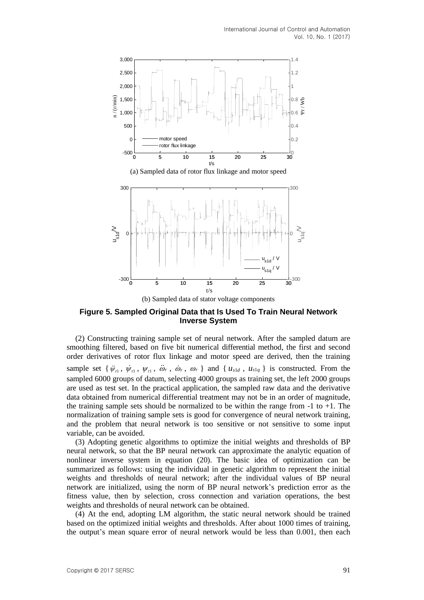



(b) Sampled data of stator voltage components

### **Figure 5. Sampled Original Data that Is Used To Train Neural Network Inverse System**

(2) Constructing training sample set of neural network. After the sampled datum are smoothing filtered, based on five bit numerical differential method, the first and second order derivatives of rotor flux linkage and motor speed are derived, then the training sample set  $\{\psi_{r1}, \psi_{r1}, \psi_{r1}, \ddot{\omega}_r, \dot{\omega}_r, \omega_r\}$  and  $\{u_{s1d}, u_{s1q}\}$  is constructed. From the sampled 6000 groups of datum, selecting 4000 groups as training set, the left 2000 groups are used as test set. In the practical application, the sampled raw data and the derivative data obtained from numerical differential treatment may not be in an order of magnitude, the training sample sets should be normalized to be within the range from  $-1$  to  $+1$ . The normalization of training sample sets is good for convergence of neural network training, and the problem that neural network is too sensitive or not sensitive to some input variable, can be avoided.

(3) Adopting genetic algorithms to optimize the initial weights and thresholds of BP neural network, so that the BP neural network can approximate the analytic equation of nonlinear inverse system in equation (20). The basic idea of optimization can be summarized as follows: using the individual in genetic algorithm to represent the initial weights and thresholds of neural network; after the individual values of BP neural network are initialized, using the norm of BP neural network's prediction error as the fitness value, then by selection, cross connection and variation operations, the best weights and thresholds of neural network can be obtained.

(4) At the end, adopting LM algorithm, the static neural network should be trained based on the optimized initial weights and thresholds. After about 1000 times of training, the output's mean square error of neural network would be less than 0.001, then each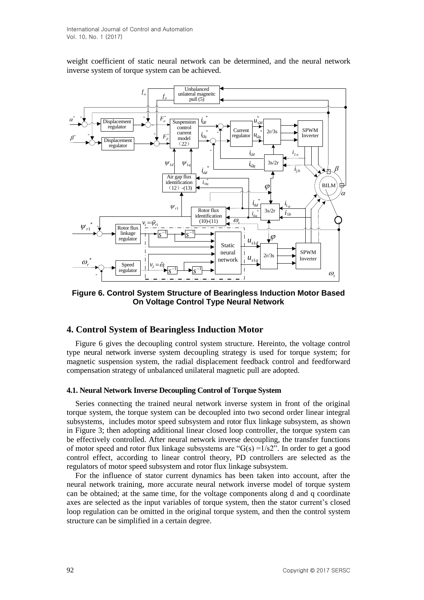weight coefficient of static neural network can be determined, and the neural network inverse system of torque system can be achieved.



**Figure 6. Control System Structure of Bearingless Induction Motor Based On Voltage Control Type Neural Network**

### **4. Control System of Bearingless Induction Motor**

Figure 6 gives the decoupling control system structure. Hereinto, the voltage control type neural network inverse system decoupling strategy is used for torque system; for magnetic suspension system, the radial displacement feedback control and feedforward compensation strategy of unbalanced unilateral magnetic pull are adopted.

#### **4.1. Neural Network Inverse Decoupling Control of Torque System**

Series connecting the trained neural network inverse system in front of the original torque system, the torque system can be decoupled into two second order linear integral subsystems, includes motor speed subsystem and rotor flux linkage subsystem, as shown in Figure 3; then adopting additional linear closed loop controller, the torque system can be effectively controlled. After neural network inverse decoupling, the transfer functions of motor speed and rotor flux linkage subsystems are " $G(s) = 1/s2$ ". In order to get a good control effect, according to linear control theory, PD controllers are selected as the regulators of motor speed subsystem and rotor flux linkage subsystem.

For the influence of stator current dynamics has been taken into account, after the neural network training, more accurate neural network inverse model of torque system can be obtained; at the same time, for the voltage components along d and q coordinate axes are selected as the input variables of torque system, then the stator current's closed loop regulation can be omitted in the original torque system, and then the control system structure can be simplified in a certain degree.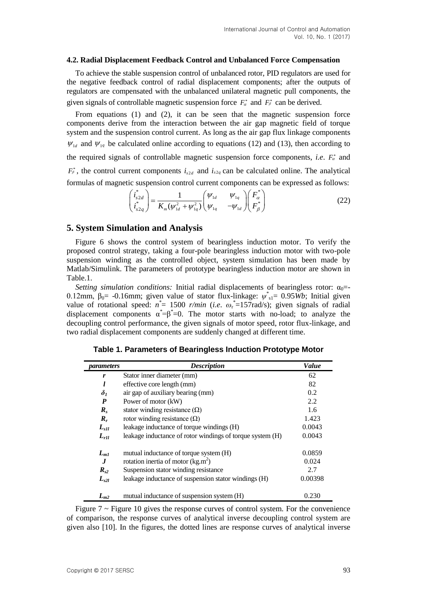#### **4.2. Radial Displacement Feedback Control and Unbalanced Force Compensation**

To achieve the stable suspension control of unbalanced rotor, PID regulators are used for the negative feedback control of radial displacement components; after the outputs of regulators are compensated with the unbalanced unilateral magnetic pull components, the given signals of controllable magnetic suspension force  $F_{\alpha}^*$  and  $F_{\beta}^*$  can be derived.

From equations (1) and (2), it can be seen that the magnetic suspension force components derive from the interaction between the air gap magnetic field of torque system and the suspension control current. As long as the air gap flux linkage components  $\psi_{1d}$  and  $\psi_{1q}$  be calculated online according to equations (12) and (13), then according to the required signals of controllable magnetic suspension force components, *i.e.*  $F_a^*$  and  $F_{\beta}^*$ , the control current components  $i_{s2d}$  and  $i_{s2q}$  can be calculated online. The analytical

formulas of magnetic suspension control current components can be expressed as follows:  
\n
$$
\begin{pmatrix}\ni_{s2d}^* \\
i_{s2q}^*\n\end{pmatrix} = \frac{1}{K_m(\psi_{1d}^2 + \psi_{1q}^2)} \begin{pmatrix} \psi_{1d} & \psi_{1q} \\ \psi_{1q} & -\psi_{1d} \end{pmatrix} \begin{pmatrix} F_a^* \\ F_\beta^* \end{pmatrix}
$$
\n(22)

### **5. System Simulation and Analysis**

Figure 6 shows the control system of bearingless induction motor. To verify the proposed control strategy, taking a four-pole bearingless induction motor with two-pole suspension winding as the controlled object, system simulation has been made by Matlab/Simulink. The parameters of prototype bearingless induction motor are shown in Table.1.

*Setting simulation conditions:* Initial radial displacements of bearingless rotor:  $\alpha_0$ = 0.12mm,  $β_0$  = -0.16mm; given value of stator flux-linkage:  $ψ_{s1}^{\dagger}$  = 0.95*Wb*; Initial given value of rotational speed:  $n^* = 1500$  *r/min* (*i.e.*  $\omega_r^* = 157$ rad/s); given signals of radial displacement components  $\alpha^* = \beta^* = 0$ . The motor starts with no-load; to analyze the decoupling control performance, the given signals of motor speed, rotor flux-linkage, and two radial displacement components are suddenly changed at different time.

| parameters       | <b>Description</b>                                        | Value   |
|------------------|-----------------------------------------------------------|---------|
| r                | Stator inner diameter (mm)                                | 62      |
| l                | effective core length (mm)                                | 82      |
| $\delta_{1}$     | air gap of auxiliary bearing (mm)                         | 0.2     |
| P                | Power of motor (kW)                                       | 2.2     |
| $R_{s}$          | stator winding resistance $(\Omega)$                      | 1.6     |
| $R_r$            | rotor winding resistance $(\Omega)$                       | 1.423   |
| $L_{s1l}$        | leakage inductance of torque windings (H)                 | 0.0043  |
| $L_{rll}$        | leakage inductance of rotor windings of torque system (H) | 0.0043  |
| $L_{m1}$         | mutual inductance of torque system (H)                    | 0.0859  |
| $\bm{J}$         | rotation inertia of motor $(kg.m^2)$                      | 0.024   |
| $R_{s2}$         | Suspension stator winding resistance                      | 2.7     |
| L <sub>s2l</sub> | leakage inductance of suspension stator windings (H)      | 0.00398 |
| $L_{m2}$         | mutual inductance of suspension system (H)                | 0.230   |

**Table 1. Parameters of Bearingless Induction Prototype Motor**

Figure  $7 \sim$  Figure 10 gives the response curves of control system. For the convenience of comparison, the response curves of analytical inverse decoupling control system are given also [10]. In the figures, the dotted lines are response curves of analytical inverse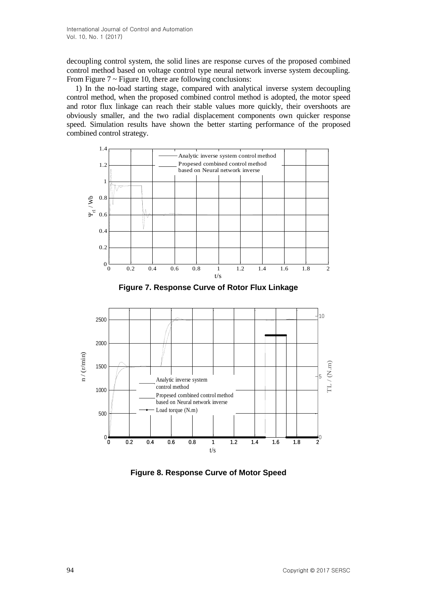decoupling control system, the solid lines are response curves of the proposed combined control method based on voltage control type neural network inverse system decoupling. From Figure  $7 \sim$  Figure 10, there are following conclusions:

1) In the no-load starting stage, compared with analytical inverse system decoupling control method, when the proposed combined control method is adopted, the motor speed and rotor flux linkage can reach their stable values more quickly, their overshoots are obviously smaller, and the two radial displacement components own quicker response speed. Simulation results have shown the better starting performance of the proposed combined control strategy.



**Figure 7. Response Curve of Rotor Flux Linkage**



**Figure 8. Response Curve of Motor Speed**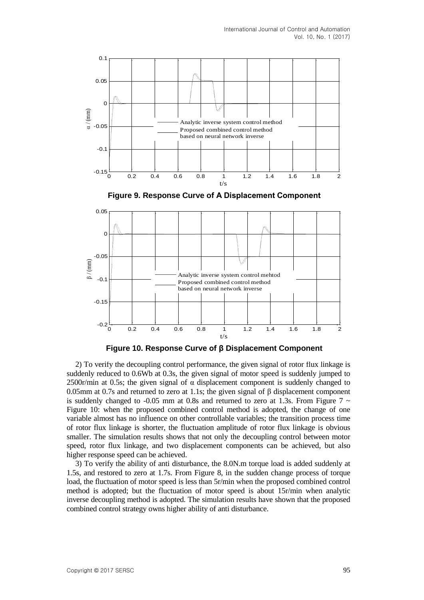





**Figure 10. Response Curve of β Displacement Component**

2) To verify the decoupling control performance, the given signal of rotor flux linkage is suddenly reduced to 0.6Wb at 0.3s, the given signal of motor speed is suddenly jumped to 2500r/min at 0.5s; the given signal of  $\alpha$  displacement component is suddenly changed to 0.05mm at 0.7s and returned to zero at 1.1s; the given signal of  $\beta$  displacement component is suddenly changed to -0.05 mm at 0.8s and returned to zero at 1.3s. From Figure 7  $\sim$ Figure 10: when the proposed combined control method is adopted, the change of one variable almost has no influence on other controllable variables; the transition process time of rotor flux linkage is shorter, the fluctuation amplitude of rotor flux linkage is obvious smaller. The simulation results shows that not only the decoupling control between motor speed, rotor flux linkage, and two displacement components can be achieved, but also higher response speed can be achieved.

3) To verify the ability of anti disturbance, the 8.0N.m torque load is added suddenly at 1.5s, and restored to zero at 1.7s. From Figure 8, in the sudden change process of torque load, the fluctuation of motor speed is less than 5r/min when the proposed combined control method is adopted; but the fluctuation of motor speed is about 15r/min when analytic inverse decoupling method is adopted. The simulation results have shown that the proposed combined control strategy owns higher ability of anti disturbance.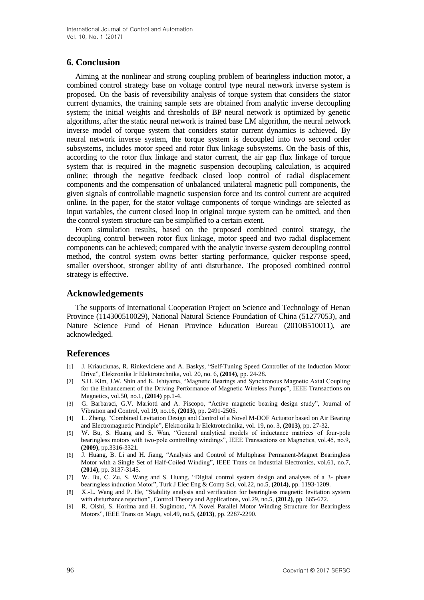# **6. Conclusion**

Aiming at the nonlinear and strong coupling problem of bearingless induction motor, a combined control strategy base on voltage control type neural network inverse system is proposed. On the basis of reversibility analysis of torque system that considers the stator current dynamics, the training sample sets are obtained from analytic inverse decoupling system; the initial weights and thresholds of BP neural network is optimized by genetic algorithms, after the static neural network is trained base LM algorithm, the neural network inverse model of torque system that considers stator current dynamics is achieved. By neural network inverse system, the torque system is decoupled into two second order subsystems, includes motor speed and rotor flux linkage subsystems. On the basis of this, according to the rotor flux linkage and stator current, the air gap flux linkage of torque system that is required in the magnetic suspension decoupling calculation, is acquired online; through the negative feedback closed loop control of radial displacement components and the compensation of unbalanced unilateral magnetic pull components, the given signals of controllable magnetic suspension force and its control current are acquired online. In the paper, for the stator voltage components of torque windings are selected as input variables, the current closed loop in original torque system can be omitted, and then the control system structure can be simplified to a certain extent.

From simulation results, based on the proposed combined control strategy, the decoupling control between rotor flux linkage, motor speed and two radial displacement components can be achieved; compared with the analytic inverse system decoupling control method, the control system owns better starting performance, quicker response speed, smaller overshoot, stronger ability of anti disturbance. The proposed combined control strategy is effective.

# **Acknowledgements**

The supports of International Cooperation Project on Science and Technology of Henan Province (114300510029), National Natural Science Foundation of China (51277053), and Nature Science Fund of Henan Province Education Bureau (2010B510011), are acknowledged.

### **References**

- [1] J. Kriauciunas, R. Rinkeviciene and A. Baskys, "Self-Tuning Speed Controller of the Induction Motor Drive", Elektronika Ir Elektrotechnika, vol. 20, no. 6, **(2014)**, pp. 24-28.
- [2] S.H. Kim, J.W. Shin and K. Ishiyama, "Magnetic Bearings and Synchronous Magnetic Axial Coupling for the Enhancement of the Driving Performance of Magnetic Wireless Pumps", IEEE Transactions on Magnetics, vol.50, no.1, **(2014)** pp.1-4.
- [3] G. Barbaraci, G.V. Mariotti and A. Piscopo, "Active magnetic bearing design study", Journal of Vibration and Control, vol.19, no.16, **(2013)**, pp. 2491-2505.
- [4] L. Zheng, "Combined Levitation Design and Control of a Novel M-DOF Actuator based on Air Bearing and Electromagnetic Principle", Elektronika Ir Elektrotechnika, vol. 19, no. 3, **(2013)**, pp. 27-32.
- [5] W. Bu, S. Huang and S. Wan, "General analytical models of inductance matrices of four-pole bearingless motors with two-pole controlling windings", IEEE Transactions on Magnetics, vol.45, no.9, **(2009)**, pp.3316-3321.
- [6] J. Huang, B. Li and H. Jiang, "Analysis and Control of Multiphase Permanent-Magnet Bearingless Motor with a Single Set of Half-Coiled Winding", IEEE Trans on Industrial Electronics, vol.61, no.7, **(2014)**, pp. 3137-3145.
- [7] W. Bu, C. Zu, S. Wang and S. Huang, "Digital control system design and analyses of a 3- phase bearingless induction Motor", Turk J Elec Eng & Comp Sci, vol.22, no.5, **(2014)**, pp. 1193-1209.
- [8] X.-L. Wang and P. He, "Stability analysis and verification for bearingless magnetic levitation system with disturbance rejection", Control Theory and Applications, vol.29, no.5, **(2012)**, pp. 665-672.
- [9] R. Oishi, S. Horima and H. Sugimoto, "A Novel Parallel Motor Winding Structure for Bearingless Motors", IEEE Trans on Magn, vol.49, no.5, **(2013)**, pp. 2287-2290.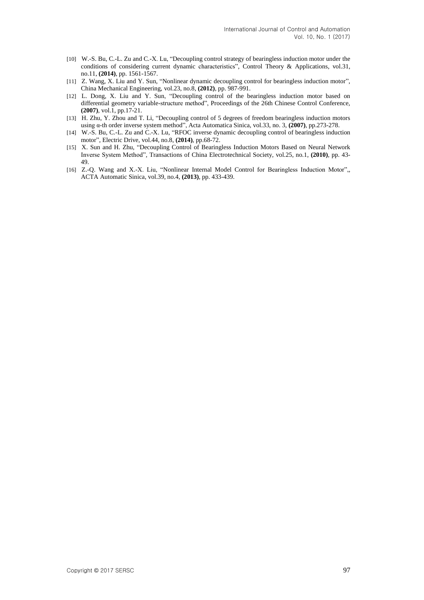- [10] W.-S. Bu, C.-L. Zu and C.-X. Lu, "Decoupling control strategy of bearingless induction motor under the conditions of considering current dynamic characteristics", Control Theory & Applications, vol.31, no.11, **(2014)**, pp. 1561-1567.
- [11] Z. Wang, X. Liu and Y. Sun, "Nonlinear dynamic decoupling control for bearingless induction motor", China Mechanical Engineering, vol.23, no.8, **(2012)**, pp. 987-991.
- [12] L. Dong, X. Liu and Y. Sun, "Decoupling control of the bearingless induction motor based on differential geometry variable-structure method", Proceedings of the 26th Chinese Control Conference, **(2007)**, vol.1, pp.17-21.
- [13] H. Zhu, Y. Zhou and T. Li, "Decoupling control of 5 degrees of freedom bearingless induction motors using α-th order inverse system method", Acta Automatica Sinica, vol.33, no. 3, **(2007)**, pp.273-278.
- [14] W.-S. Bu, C.-L. Zu and C.-X. Lu, "RFOC inverse dynamic decoupling control of bearingless induction motor", Electric Drive, vol.44, no.8, **(2014)**, pp.68-72.
- [15] X. Sun and H. Zhu, "Decoupling Control of Bearingless Induction Motors Based on Neural Network Inverse System Method", Transactions of China Electrotechnical Society, vol.25, no.1, **(2010)**, pp. 43- 49.
- [16] Z.-Q. Wang and X.-X. Liu, "Nonlinear Internal Model Control for Bearingless Induction Motor", ACTA Automatic Sinica, vol.39, no.4, **(2013)**, pp. 433-439.